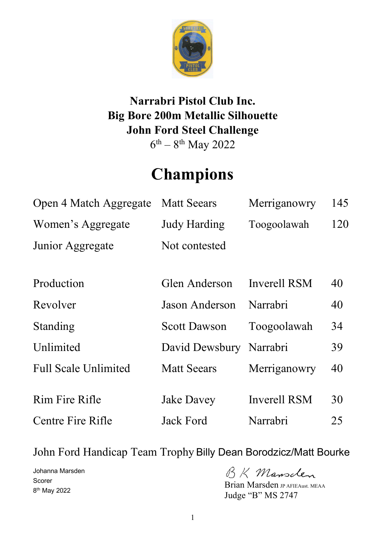

## **Narrabri Pistol Club Inc. Big Bore 200m Metallic Silhouette John Ford Steel Challenge**   $6<sup>th</sup> - 8<sup>th</sup>$  May 2022

# **Champions**

| Open 4 Match Aggregate Matt Seears |                     | Merriganowry | 145 |
|------------------------------------|---------------------|--------------|-----|
| Women's Aggregate                  | <b>Judy Harding</b> | Toogoolawah  | 120 |
| Junior Aggregate                   | Not contested       |              |     |

| Production                  | Glen Anderson           | Inverell RSM        | 40 |
|-----------------------------|-------------------------|---------------------|----|
| Revolver                    | Jason Anderson          | Narrabri            | 40 |
| Standing                    | Scott Dawson            | Toogoolawah         | 34 |
| Unlimited                   | David Dewsbury Narrabri |                     | 39 |
| <b>Full Scale Unlimited</b> | <b>Matt Seears</b>      | Merriganowry        | 40 |
| Rim Fire Rifle              | <b>Jake Davey</b>       | <b>Inverell RSM</b> | 30 |
| Centre Fire Rifle           | Jack Ford               | Narrabri            | 25 |

John Ford Handicap Team Trophy Billy Dean Borodzicz/Matt Bourke

Johanna Marsden Scorer 8<sup>th</sup> May 2022

BK Mansclen

Brian Marsden JP AFIEAust. MEAA Judge "B" MS 2747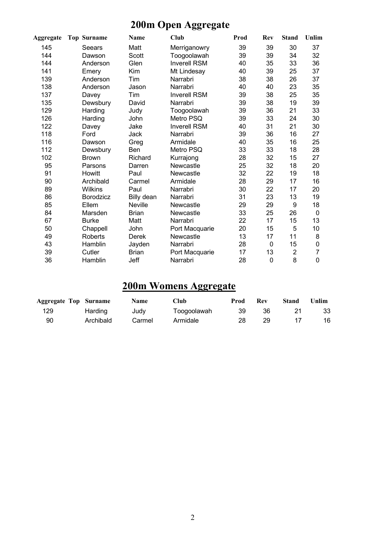# **200m Open Aggregate**

| Aggregate | <b>Top Surname</b> | Name         | <b>Club</b>         | Prod | Rev         | <b>Stand</b>   | Unlim          |
|-----------|--------------------|--------------|---------------------|------|-------------|----------------|----------------|
| 145       | Seears             | Matt         | Merriganowry        | 39   | 39          | 30             | 37             |
| 144       | Dawson             | Scott        | Toogoolawah         | 39   | 39          | 34             | 32             |
| 144       | Anderson           | Glen         | <b>Inverell RSM</b> | 40   | 35          | 33             | 36             |
| 141       | Emery              | Kim          | Mt Lindesay         | 40   | 39          | 25             | 37             |
| 139       | Anderson           | Tim          | Narrabri            | 38   | 38          | 26             | 37             |
| 138       | Anderson           | Jason        | Narrabri            | 40   | 40          | 23             | 35             |
| 137       | Davey              | Tim          | <b>Inverell RSM</b> | 39   | 38          | 25             | 35             |
| 135       | Dewsbury           | David        | Narrabri            | 39   | 38          | 19             | 39             |
| 129       | Harding            | Judy         | Toogoolawah         | 39   | 36          | 21             | 33             |
| 126       | Harding            | John         | Metro PSQ           | 39   | 33          | 24             | 30             |
| 122       | Davey              | Jake         | <b>Inverell RSM</b> | 40   | 31          | 21             | 30             |
| 118       | Ford               | Jack         | Narrabri            | 39   | 36          | 16             | 27             |
| 116       | Dawson             | Greg         | Armidale            | 40   | 35          | 16             | 25             |
| 112       | Dewsbury           | Ben          | Metro PSQ           | 33   | 33          | 18             | 28             |
| 102       | <b>Brown</b>       | Richard      | Kurrajong           | 28   | 32          | 15             | 27             |
| 95        | Parsons            | Darren       | Newcastle           | 25   | 32          | 18             | 20             |
| 91        | Howitt             | Paul         | Newcastle           | 32   | 22          | 19             | 18             |
| 90        | Archibald          | Carmel       | Armidale            | 28   | 29          | 17             | 16             |
| 89        | <b>Wilkins</b>     | Paul         | Narrabri            | 30   | 22          | 17             | 20             |
| 86        | <b>Borodzicz</b>   | Billy dean   | Narrabri            | 31   | 23          | 13             | 19             |
| 85        | Ellem              | Neville      | Newcastle           | 29   | 29          | 9              | 18             |
| 84        | Marsden            | <b>Brian</b> | Newcastle           | 33   | 25          | 26             | 0              |
| 67        | <b>Burke</b>       | Matt         | Narrabri            | 22   | 17          | 15             | 13             |
| 50        | Chappell           | John         | Port Macquarie      | 20   | 15          | 5              | 10             |
| 49        | Roberts            | Derek        | Newcastle           | 13   | 17          | 11             | 8              |
| 43        | Hamblin            | Jayden       | Narrabri            | 28   | $\mathbf 0$ | 15             | 0              |
| 39        | Cutler             | <b>Brian</b> | Port Macquarie      | 17   | 13          | $\overline{2}$ | $\overline{7}$ |
| 36        | Hamblin            | Jeff         | Narrabri            | 28   | 0           | 8              | 0              |

### **200m Womens Aggregate**

| <b>Aggregate Top Surname</b> |           | <b>Name</b> | Club        | Prod | Rev | Stand | Unlim |
|------------------------------|-----------|-------------|-------------|------|-----|-------|-------|
| 129                          | Harding   | Judy        | Toogoolawah | 39   | 36  |       | 33    |
| 90                           | Archibald | Carmel      | Armidale    | 28   | 29  |       | 16    |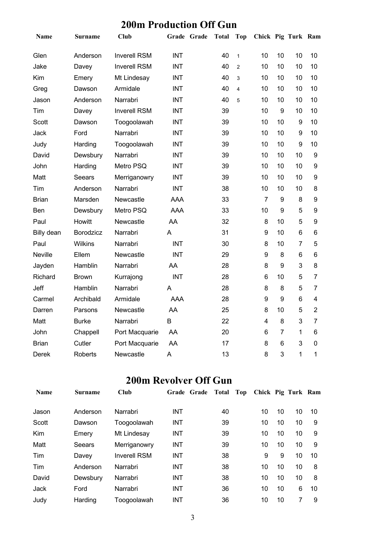#### **200m Production Off Gun**

| Name           | Surname      | <b>Club</b>         | Grade Grade    | <b>Total</b> | <b>Top</b>     | Chick Pig Turk Ram |                  |                |                         |
|----------------|--------------|---------------------|----------------|--------------|----------------|--------------------|------------------|----------------|-------------------------|
| Glen           | Anderson     | <b>Inverell RSM</b> | <b>INT</b>     | 40           | $\mathbf{1}$   | 10                 | 10               | 10             | 10                      |
| Jake           | Davey        | <b>Inverell RSM</b> | <b>INT</b>     | 40           | $\overline{2}$ | 10                 | 10               | 10             | 10                      |
| Kim            | Emery        | Mt Lindesay         | <b>INT</b>     | 40           | 3              | 10                 | 10               | 10             | 10                      |
| Greg           | Dawson       | Armidale            | <b>INT</b>     | 40           | $\overline{4}$ | 10                 | 10               | 10             | 10                      |
| Jason          | Anderson     | Narrabri            | <b>INT</b>     | 40           | 5              | 10                 | 10               | 10             | 10                      |
| Tim            | Davey        | <b>Inverell RSM</b> | <b>INT</b>     | 39           |                | 10                 | 9                | 10             | 10                      |
| Scott          | Dawson       | Toogoolawah         | <b>INT</b>     | 39           |                | 10                 | 10               | 9              | 10                      |
| Jack           | Ford         | Narrabri            | <b>INT</b>     | 39           |                | 10                 | 10               | 9              | 10                      |
| Judy           | Harding      | Toogoolawah         | <b>INT</b>     | 39           |                | 10                 | 10               | 9              | 10                      |
| David          | Dewsbury     | Narrabri            | <b>INT</b>     | 39           |                | 10                 | 10               | 10             | $\boldsymbol{9}$        |
| John           | Harding      | Metro PSQ           | <b>INT</b>     | 39           |                | 10                 | 10               | 10             | 9                       |
| Matt           | Seears       | Merriganowry        | <b>INT</b>     | 39           |                | 10                 | 10               | 10             | 9                       |
| Tim            | Anderson     | Narrabri            | <b>INT</b>     | 38           |                | 10                 | 10               | 10             | 8                       |
| <b>Brian</b>   | Marsden      | Newcastle           | <b>AAA</b>     | 33           |                | $\overline{7}$     | 9                | 8              | 9                       |
| Ben            | Dewsbury     | Metro PSQ           | AAA            | 33           |                | 10                 | $\boldsymbol{9}$ | 5              | 9                       |
| Paul           | Howitt       | Newcastle           | AA             | 32           |                | 8                  | 10               | 5              | 9                       |
| Billy dean     | Borodzicz    | Narrabri            | $\overline{A}$ | 31           |                | 9                  | 10               | 6              | $6\phantom{1}$          |
| Paul           | Wilkins      | Narrabri            | <b>INT</b>     | 30           |                | 8                  | 10               | $\overline{7}$ | 5                       |
| <b>Neville</b> | Ellem        | Newcastle           | <b>INT</b>     | 29           |                | 9                  | 8                | 6              | $6\phantom{1}$          |
| Jayden         | Hamblin      | Narrabri            | AA             | 28           |                | 8                  | 9                | 3              | 8                       |
| Richard        | <b>Brown</b> | Kurrajong           | <b>INT</b>     | 28           |                | 6                  | 10               | 5              | $\overline{7}$          |
| Jeff           | Hamblin      | Narrabri            | A              | 28           |                | 8                  | 8                | 5              | 7                       |
| Carmel         | Archibald    | Armidale            | AAA            | 28           |                | 9                  | 9                | 6              | $\overline{\mathbf{4}}$ |
| Darren         | Parsons      | Newcastle           | AA             | 25           |                | 8                  | 10               | 5              | $\overline{2}$          |
| Matt           | <b>Burke</b> | Narrabri            | B              | 22           |                | 4                  | 8                | 3              | $\overline{7}$          |
| John           | Chappell     | Port Macquarie      | AA             | 20           |                | 6                  | $\overline{7}$   | 1              | $6\phantom{1}$          |
| <b>Brian</b>   | Cutler       | Port Macquarie      | AA             | 17           |                | 8                  | $6\phantom{1}6$  | 3              | $\pmb{0}$               |
| Derek          | Roberts      | Newcastle           | A              | 13           |                | 8                  | 3                | 1              | 1                       |

#### **200m Revolver Off Gun**

| <b>Name</b> | <b>Surname</b> | <b>Club</b>         | Grade Grade | Total | Top | Chick Pig Turk Ram |    |    |    |
|-------------|----------------|---------------------|-------------|-------|-----|--------------------|----|----|----|
| Jason       | Anderson       | Narrabri            | INT         | 40    |     | 10                 | 10 | 10 | 10 |
| Scott       | Dawson         | Toogoolawah         | INT         | 39    |     | 10                 | 10 | 10 | 9  |
| <b>Kim</b>  | Emery          | Mt Lindesay         | INT         | 39    |     | 10                 | 10 | 10 | 9  |
| Matt        | Seears         | Merriganowry        | <b>INT</b>  | 39    |     | 10                 | 10 | 10 | 9  |
| Tim         | Davey          | <b>Inverell RSM</b> | <b>INT</b>  | 38    |     | 9                  | 9  | 10 | 10 |
| Tim         | Anderson       | Narrabri            | <b>INT</b>  | 38    |     | 10                 | 10 | 10 | 8  |
| David       | Dewsbury       | Narrabri            | <b>INT</b>  | 38    |     | 10                 | 10 | 10 | 8  |
| Jack        | Ford           | Narrabri            | <b>INT</b>  | 36    |     | 10                 | 10 | 6  | 10 |
| Judy        | Harding        | Toogoolawah         | <b>INT</b>  | 36    |     | 10                 | 10 | 7  | 9  |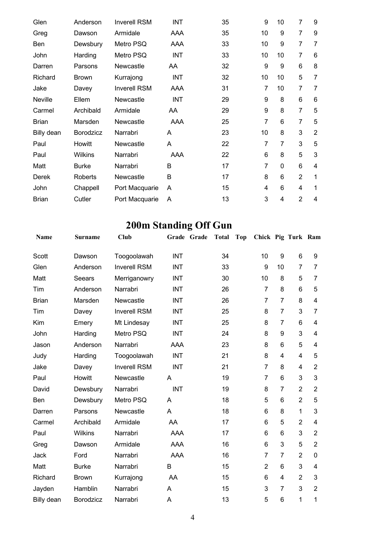| Glen         | Anderson         | <b>Inverell RSM</b> | <b>INT</b> | 35 | 9              | 10             | $\overline{7}$ | 9              |
|--------------|------------------|---------------------|------------|----|----------------|----------------|----------------|----------------|
| Greg         | Dawson           | Armidale            | AAA        | 35 | 10             | 9              | $\overline{7}$ | 9              |
| Ben          | Dewsbury         | Metro PSQ           | AAA        | 33 | 10             | 9              | 7              | 7              |
| John         | Harding          | Metro PSQ           | <b>INT</b> | 33 | 10             | 10             | $\overline{7}$ | 6              |
| Darren       | Parsons          | Newcastle           | AA         | 32 | 9              | 9              | $6\phantom{1}$ | 8              |
| Richard      | <b>Brown</b>     | Kurrajong           | <b>INT</b> | 32 | 10             | 10             | 5              | 7              |
| Jake         | Davey            | <b>Inverell RSM</b> | AAA        | 31 | $\overline{7}$ | 10             | 7              | 7              |
| Neville      | Ellem            | Newcastle           | INT        | 29 | 9              | 8              | 6              | 6              |
| Carmel       | Archibald        | Armidale            | AA         | 29 | 9              | 8              | $\overline{7}$ | 5              |
| <b>Brian</b> | Marsden          | Newcastle           | <b>AAA</b> | 25 | 7              | 6              | $\overline{7}$ | 5              |
| Billy dean   | <b>Borodzicz</b> | Narrabri            | A          | 23 | 10             | 8              | 3              | $\overline{2}$ |
| Paul         | Howitt           | Newcastle           | A          | 22 | $\overline{7}$ | $\overline{7}$ | 3              | 5              |
| Paul         | Wilkins          | Narrabri            | AAA        | 22 | 6              | 8              | 5              | 3              |
| Matt         | <b>Burke</b>     | Narrabri            | B          | 17 | $\overline{7}$ | $\mathbf 0$    | $6\phantom{1}$ | 4              |
| Derek        | <b>Roberts</b>   | Newcastle           | B          | 17 | 8              | 6              | $\overline{2}$ | 1              |
| John         | Chappell         | Port Macquarie      | A          | 15 | 4              | 6              | 4              | 1              |
| <b>Brian</b> | Cutler           | Port Macquarie      | A          | 13 | 3              | 4              | $\overline{2}$ | 4              |

# **200m Standing Off Gun**

| Name         | <b>Surname</b>   | Club                |            | Grade Grade | <b>Total</b> | <b>Top</b> | Chick Pig Turk Ram |                 |                |                         |
|--------------|------------------|---------------------|------------|-------------|--------------|------------|--------------------|-----------------|----------------|-------------------------|
| Scott        | Dawson           | Toogoolawah         | <b>INT</b> |             | 34           |            | 10                 | 9               | $6\phantom{1}$ | 9                       |
| Glen         | Anderson         | <b>Inverell RSM</b> | <b>INT</b> |             | 33           |            | 9                  | 10              | $\overline{7}$ | 7                       |
| Matt         | Seears           | Merriganowry        | <b>INT</b> |             | 30           |            | 10                 | 8               | 5              | $\overline{7}$          |
| Tim          | Anderson         | Narrabri            | <b>INT</b> |             | 26           |            | $\overline{7}$     | 8               | 6              | 5                       |
| <b>Brian</b> | Marsden          | Newcastle           | <b>INT</b> |             | 26           |            | $\overline{7}$     | $\overline{7}$  | 8              | 4                       |
| Tim          | Davey            | <b>Inverell RSM</b> | <b>INT</b> |             | 25           |            | 8                  | $\overline{7}$  | 3              | 7                       |
| Kim          | Emery            | Mt Lindesay         | <b>INT</b> |             | 25           |            | 8                  | $\overline{7}$  | 6              | 4                       |
| John         | Harding          | Metro PSQ           | <b>INT</b> |             | 24           |            | 8                  | 9               | 3              | $\overline{4}$          |
| Jason        | Anderson         | Narrabri            | AAA        |             | 23           |            | 8                  | 6               | 5              | $\overline{4}$          |
| Judy         | Harding          | Toogoolawah         | <b>INT</b> |             | 21           |            | 8                  | 4               | 4              | 5                       |
| Jake         | Davey            | <b>Inverell RSM</b> | <b>INT</b> |             | 21           |            | $\overline{7}$     | 8               | 4              | $\overline{2}$          |
| Paul         | Howitt           | Newcastle           | A          |             | 19           |            | $\overline{7}$     | 6               | 3              | 3                       |
| David        | Dewsbury         | Narrabri            | <b>INT</b> |             | 19           |            | 8                  | $\overline{7}$  | $\overline{2}$ | $\overline{2}$          |
| Ben          | Dewsbury         | Metro PSQ           | A          |             | 18           |            | 5                  | 6               | $\overline{2}$ | 5                       |
| Darren       | Parsons          | Newcastle           | A          |             | 18           |            | 6                  | 8               | 1              | 3                       |
| Carmel       | Archibald        | Armidale            | AA         |             | 17           |            | 6                  | 5               | $\overline{2}$ | $\overline{\mathbf{4}}$ |
| Paul         | <b>Wilkins</b>   | Narrabri            | AAA        |             | 17           |            | 6                  | $6\phantom{1}6$ | 3              | $\overline{2}$          |
| Greg         | Dawson           | Armidale            | <b>AAA</b> |             | 16           |            | $6\phantom{1}6$    | 3               | 5              | $\overline{2}$          |
| Jack         | Ford             | Narrabri            | <b>AAA</b> |             | 16           |            | $\overline{7}$     | $\overline{7}$  | $\overline{2}$ | 0                       |
| Matt         | <b>Burke</b>     | Narrabri            | B          |             | 15           |            | $\overline{2}$     | 6               | 3              | $\overline{\mathbf{4}}$ |
| Richard      | <b>Brown</b>     | Kurrajong           | AA         |             | 15           |            | 6                  | $\overline{4}$  | $\overline{2}$ | 3                       |
| Jayden       | Hamblin          | Narrabri            | A          |             | 15           |            | 3                  | $\overline{7}$  | 3              | $\overline{2}$          |
| Billy dean   | <b>Borodzicz</b> | Narrabri            | Α          |             | 13           |            | 5                  | 6               | 1              | 1                       |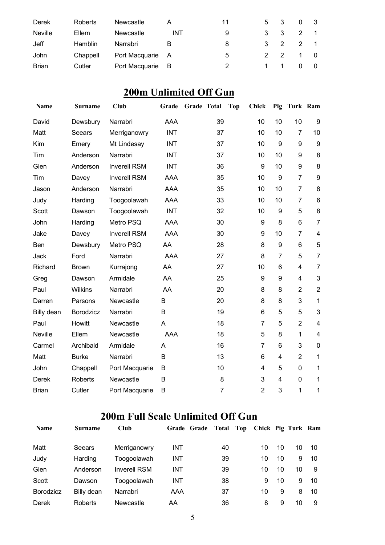| Derek          | <b>Roberts</b> | Newcastle        | A   | 11 | 5             |                | $\Omega$ |  |
|----------------|----------------|------------------|-----|----|---------------|----------------|----------|--|
| <b>Neville</b> | Ellem          | <b>Newcastle</b> | INT | 9  | 3             | 3              |          |  |
| Jeff           | <b>Hamblin</b> | Narrabri         |     | 8  | 3             | 2              |          |  |
| John           | Chappell       | Port Macquarie   | - A | 5  | $\mathcal{P}$ | $\overline{2}$ |          |  |
| <b>Brian</b>   | Cutler         | Port Macquarie   | -B  |    |               |                |          |  |

## **200m Unlimited Off Gun**

| Name           | <b>Surname</b> | <b>Club</b>         | Grade      | Grade Total<br><b>Top</b> | <b>Chick</b>   |    | Pig Turk Ram   |                         |
|----------------|----------------|---------------------|------------|---------------------------|----------------|----|----------------|-------------------------|
| David          | Dewsbury       | Narrabri            | <b>AAA</b> | 39                        | 10             | 10 | 10             | 9                       |
| Matt           | Seears         | Merriganowry        | <b>INT</b> | 37                        | 10             | 10 | $\overline{7}$ | 10                      |
| Kim            | Emery          | Mt Lindesay         | <b>INT</b> | 37                        | 10             | 9  | 9              | $9\,$                   |
| Tim            | Anderson       | Narrabri            | <b>INT</b> | 37                        | 10             | 10 | 9              | 8                       |
| Glen           | Anderson       | <b>Inverell RSM</b> | <b>INT</b> | 36                        | 9              | 10 | 9              | 8                       |
| Tim            | Davey          | <b>Inverell RSM</b> | <b>AAA</b> | 35                        | 10             | 9  | $\overline{7}$ | 9                       |
| Jason          | Anderson       | Narrabri            | <b>AAA</b> | 35                        | 10             | 10 | $\overline{7}$ | 8                       |
| Judy           | Harding        | Toogoolawah         | <b>AAA</b> | 33                        | 10             | 10 | $\overline{7}$ | $6\phantom{1}$          |
| Scott          | Dawson         | Toogoolawah         | <b>INT</b> | 32                        | 10             | 9  | 5              | 8                       |
| John           | Harding        | Metro PSQ           | <b>AAA</b> | 30                        | 9              | 8  | 6              | $\overline{7}$          |
| Jake           | Davey          | <b>Inverell RSM</b> | <b>AAA</b> | 30                        | 9              | 10 | $\overline{7}$ | $\overline{\mathbf{4}}$ |
| Ben            | Dewsbury       | Metro PSQ           | AA         | 28                        | 8              | 9  | $6\phantom{1}$ | 5                       |
| Jack           | Ford           | Narrabri            | <b>AAA</b> | 27                        | 8              | 7  | 5              | $\overline{7}$          |
| Richard        | <b>Brown</b>   | Kurrajong           | AA         | 27                        | 10             | 6  | 4              | $\overline{7}$          |
| Greg           | Dawson         | Armidale            | AA         | 25                        | 9              | 9  | $\overline{4}$ | 3                       |
| Paul           | Wilkins        | Narrabri            | AA         | 20                        | 8              | 8  | $\overline{2}$ | $\overline{2}$          |
| Darren         | Parsons        | Newcastle           | B          | 20                        | 8              | 8  | 3              | $\mathbf{1}$            |
| Billy dean     | Borodzicz      | Narrabri            | B          | 19                        | 6              | 5  | 5              | $\mathbf{3}$            |
| Paul           | Howitt         | Newcastle           | A          | 18                        | $\overline{7}$ | 5  | $\overline{2}$ | $\overline{\mathbf{4}}$ |
| <b>Neville</b> | Ellem          | Newcastle           | <b>AAA</b> | 18                        | 5              | 8  | $\mathbf{1}$   | $\overline{\mathbf{4}}$ |
| Carmel         | Archibald      | Armidale            | A          | 16                        | $\overline{7}$ | 6  | 3              | $\pmb{0}$               |
| Matt           | <b>Burke</b>   | Narrabri            | B          | 13                        | 6              | 4  | $\overline{2}$ | $\mathbf{1}$            |
| John           | Chappell       | Port Macquarie      | B          | 10                        | $\overline{4}$ | 5  | $\mathbf 0$    | $\mathbf 1$             |
| Derek          | Roberts        | Newcastle           | B          | 8                         | 3              | 4  | $\overline{0}$ | $\mathbf{1}$            |
| <b>Brian</b>   | Cutler         | Port Macquarie      | B          | $\overline{7}$            | $\overline{2}$ | 3  | 1              | 1                       |

#### **200m Full Scale Unlimited Off Gun**

| <b>Name</b>      | Surname    | Club                | Grade Grade | Total | Top | Chick Pig Turk Ram |    |    |     |
|------------------|------------|---------------------|-------------|-------|-----|--------------------|----|----|-----|
| Matt             | Seears     | Merriganowry        | <b>INT</b>  | 40    |     | 10                 | 10 | 10 | -10 |
| Judy             | Harding    | Toogoolawah         | <b>INT</b>  | 39    |     | 10                 | 10 | 9  | 10  |
| Glen             | Anderson   | <b>Inverell RSM</b> | <b>INT</b>  | 39    |     | 10                 | 10 | 10 | 9   |
| Scott            | Dawson     | Toogoolawah         | INT         | 38    |     | 9                  | 10 | 9  | 10  |
| <b>Borodzicz</b> | Billy dean | Narrabri            | AAA         | 37    |     | 10                 | 9  | 8  | 10  |
| <b>Derek</b>     | Roberts    | Newcastle           | AA          | 36    |     | 8                  | 9  | 10 | 9   |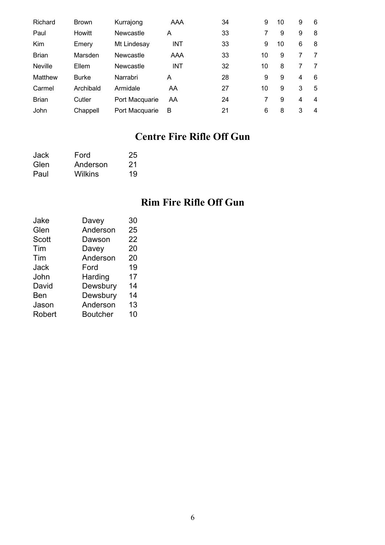| Richard        | <b>Brown</b> | Kurrajong      | AAA        | 34 | 9  | 10 | 9              | 6 |
|----------------|--------------|----------------|------------|----|----|----|----------------|---|
| Paul           | Howitt       | Newcastle      | A          | 33 | 7  | 9  | 9              | 8 |
| Kim            | Emery        | Mt Lindesay    | INT        | 33 | 9  | 10 | 6              | 8 |
| <b>Brian</b>   | Marsden      | Newcastle      | AAA        | 33 | 10 | 9  | 7              |   |
| <b>Neville</b> | Ellem        | Newcastle      | <b>INT</b> | 32 | 10 | 8  | 7              |   |
| Matthew        | <b>Burke</b> | Narrabri       | A          | 28 | 9  | 9  | 4              | 6 |
| Carmel         | Archibald    | Armidale       | AA         | 27 | 10 | 9  | 3              | 5 |
| <b>Brian</b>   | Cutler       | Port Macquarie | AA         | 24 |    | 9  | $\overline{4}$ | 4 |
| John           | Chappell     | Port Macquarie | B          | 21 | 6  | 8  | 3              | 4 |

## **Centre Fire Rifle Off Gun**

| <b>Jack</b> | Ford           | 25  |
|-------------|----------------|-----|
| Glen        | Anderson       | -21 |
| Paul        | <b>Wilkins</b> | 19  |

#### **Rim Fire Rifle Off Gun**

| Jake         | Davey           | 30 |
|--------------|-----------------|----|
| Glen         | Anderson        | 25 |
| <b>Scott</b> | Dawson          | 22 |
| Tim          | Davey           | 20 |
| Tim          | Anderson        | 20 |
| Jack         | Ford            | 19 |
| John         | Harding         | 17 |
| David        | Dewsbury        | 14 |
| Ben          | Dewsbury        | 14 |
| Jason        | Anderson        | 13 |
| Robert       | <b>Boutcher</b> | 10 |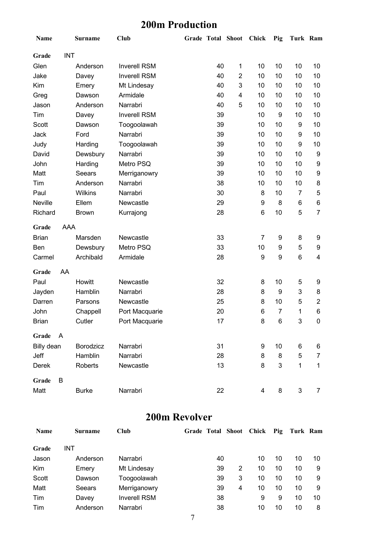#### **200m Production**

| Name           |            | <b>Surname</b> | <b>Club</b>         | <b>Grade Total Shoot</b> |                         | Chick            | Pig | Turk Ram                  |                         |
|----------------|------------|----------------|---------------------|--------------------------|-------------------------|------------------|-----|---------------------------|-------------------------|
| Grade          | <b>INT</b> |                |                     |                          |                         |                  |     |                           |                         |
| Glen           |            | Anderson       | <b>Inverell RSM</b> | 40                       | $\mathbf 1$             | 10               | 10  | 10                        | 10                      |
| Jake           |            | Davey          | <b>Inverell RSM</b> | 40                       | $\overline{2}$          | 10               | 10  | 10                        | 10                      |
| Kim            |            | Emery          | Mt Lindesay         | 40                       | 3                       | 10               | 10  | 10                        | 10                      |
| Greg           |            | Dawson         | Armidale            | 40                       | $\overline{\mathbf{4}}$ | 10               | 10  | 10                        | 10                      |
| Jason          |            | Anderson       | Narrabri            | 40                       | 5                       | 10               | 10  | 10                        | 10                      |
| Tim            |            | Davey          | <b>Inverell RSM</b> | 39                       |                         | 10               | 9   | 10                        | 10                      |
| Scott          |            | Dawson         | Toogoolawah         | 39                       |                         | 10               | 10  | 9                         | 10                      |
| Jack           |            | Ford           | Narrabri            | 39                       |                         | 10               | 10  | 9                         | 10                      |
| Judy           |            | Harding        | Toogoolawah         | 39                       |                         | 10               | 10  | 9                         | 10                      |
| David          |            | Dewsbury       | Narrabri            | 39                       |                         | 10               | 10  | 10                        | 9                       |
| John           |            | Harding        | Metro PSQ           | 39                       |                         | 10               | 10  | 10                        | 9                       |
| Matt           |            | Seears         | Merriganowry        | 39                       |                         | 10               | 10  | 10                        | 9                       |
| Tim            |            | Anderson       | Narrabri            | 38                       |                         | 10               | 10  | 10                        | 8                       |
| Paul           |            | Wilkins        | Narrabri            | 30                       |                         | 8                | 10  | 7                         | 5                       |
| <b>Neville</b> |            | Ellem          | Newcastle           | 29                       |                         | 9                | 8   | 6                         | 6                       |
| Richard        |            | <b>Brown</b>   | Kurrajong           | 28                       |                         | 6                | 10  | 5                         | $\overline{7}$          |
| Grade          | <b>AAA</b> |                |                     |                          |                         |                  |     |                           |                         |
| <b>Brian</b>   |            | Marsden        | Newcastle           | 33                       |                         | 7                | 9   | 8                         | 9                       |
| Ben            |            | Dewsbury       | Metro PSQ           | 33                       |                         | 10               | 9   | 5                         | 9                       |
| Carmel         |            | Archibald      | Armidale            | 28                       |                         | $\boldsymbol{9}$ | 9   | 6                         | $\overline{\mathbf{4}}$ |
| Grade          | AA         |                |                     |                          |                         |                  |     |                           |                         |
| Paul           |            | Howitt         | Newcastle           | 32                       |                         | 8                | 10  | 5                         | 9                       |
| Jayden         |            | Hamblin        | Narrabri            | 28                       |                         | 8                | 9   | 3                         | 8                       |
| Darren         |            | Parsons        | Newcastle           | 25                       |                         | 8                | 10  | 5                         | $\overline{2}$          |
| John           |            | Chappell       | Port Macquarie      | 20                       |                         | 6                | 7   | 1                         | 6                       |
| <b>Brian</b>   |            | Cutler         | Port Macquarie      | 17                       |                         | 8                | 6   | 3                         | 0                       |
| Grade          | A          |                |                     |                          |                         |                  |     |                           |                         |
| Billy dean     |            | Borodzicz      | Narrabri            | 31                       |                         | 9                | 10  | 6                         | 6                       |
| Jeff           |            | Hamblin        | Narrabri            | 28                       |                         | 8                | 8   | 5                         | 7                       |
| Derek          |            | Roberts        | Newcastle           | 13                       |                         | 8                | 3   | 1                         | 1                       |
| Grade          | Β          |                |                     |                          |                         |                  |     |                           |                         |
| Matt           |            | <b>Burke</b>   | Narrabri            | 22                       |                         | 4                | 8   | $\ensuremath{\mathsf{3}}$ | 7                       |

#### **200m Revolver**

| <b>Name</b> | Surname  | <b>Club</b>         |    |   | Grade Total Shoot Chick |    | Pig Turk Ram |    |
|-------------|----------|---------------------|----|---|-------------------------|----|--------------|----|
| Grade       | INT      |                     |    |   |                         |    |              |    |
| Jason       | Anderson | Narrabri            | 40 |   | 10                      | 10 | 10           | 10 |
| Kim         | Emery    | Mt Lindesay         | 39 | 2 | 10                      | 10 | 10           | 9  |
| Scott       | Dawson   | Toogoolawah         | 39 | 3 | 10                      | 10 | 10           | 9  |
| Matt        | Seears   | Merriganowry        | 39 | 4 | 10                      | 10 | 10           | 9  |
| Tim         | Davey    | <b>Inverell RSM</b> | 38 |   | 9                       | 9  | 10           | 10 |
| Tim         | Anderson | Narrabri            | 38 |   | 10                      | 10 | 10           | 8  |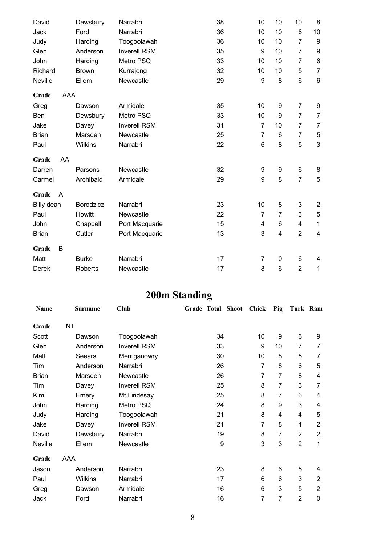| David        |     | Dewsbury       | Narrabri            | 38 | 10               | 10             | 10                       | 8                       |
|--------------|-----|----------------|---------------------|----|------------------|----------------|--------------------------|-------------------------|
| Jack         |     | Ford           | Narrabri            | 36 | 10               | 10             | $6\phantom{1}6$          | 10                      |
| Judy         |     | Harding        | Toogoolawah         | 36 | 10               | 10             | 7                        | 9                       |
| Glen         |     | Anderson       | <b>Inverell RSM</b> | 35 | 9                | 10             | $\overline{7}$           | $\boldsymbol{9}$        |
| John         |     | Harding        | Metro PSQ           | 33 | 10               | 10             | 7                        | 6                       |
| Richard      |     | <b>Brown</b>   | Kurrajong           | 32 | 10               | 10             | 5                        | $\overline{7}$          |
| Neville      |     | Ellem          | Newcastle           | 29 | 9                | 8              | $6\phantom{1}$           | $\,6\,$                 |
| Grade        | AAA |                |                     |    |                  |                |                          |                         |
| Greg         |     | Dawson         | Armidale            | 35 | 10               | 9              | $\overline{7}$           | 9                       |
| Ben          |     | Dewsbury       | Metro PSQ           | 33 | 10               | 9              | $\overline{7}$           | $\overline{7}$          |
| Jake         |     | Davey          | <b>Inverell RSM</b> | 31 | $\overline{7}$   | 10             | $\overline{7}$           | $\overline{7}$          |
| <b>Brian</b> |     | Marsden        | Newcastle           | 25 | $\overline{7}$   | 6              | $\overline{7}$           | 5                       |
| Paul         |     | <b>Wilkins</b> | Narrabri            | 22 | 6                | 8              | 5                        | 3                       |
| Grade        | AA  |                |                     |    |                  |                |                          |                         |
| Darren       |     | Parsons        | Newcastle           | 32 | 9                | 9              | $6\phantom{1}$           | 8                       |
| Carmel       |     | Archibald      | Armidale            | 29 | $\boldsymbol{9}$ | 8              | $\overline{7}$           | 5                       |
| Grade        | A   |                |                     |    |                  |                |                          |                         |
| Billy dean   |     | Borodzicz      | Narrabri            | 23 | 10               | 8              | $\mathsf 3$              | $\overline{c}$          |
| Paul         |     | Howitt         | Newcastle           | 22 | $\overline{7}$   | $\overline{7}$ | 3                        | $\mathbf 5$             |
| John         |     | Chappell       | Port Macquarie      | 15 | 4                | 6              | $\overline{\mathcal{A}}$ | 1                       |
| <b>Brian</b> |     | Cutler         | Port Macquarie      | 13 | 3                | 4              | $\overline{2}$           | $\overline{\mathbf{4}}$ |
| Grade        | B   |                |                     |    |                  |                |                          |                         |
| Matt         |     | <b>Burke</b>   | Narrabri            | 17 | 7                | $\mathbf 0$    | 6                        | 4                       |
| Derek        |     | <b>Roberts</b> | Newcastle           | 17 | 8                | 6              | $\overline{2}$           | 1                       |

# **200m Standing**

| <b>Name</b>  | <b>Surname</b> | <b>Club</b>         | Grade Total Shoot | <b>Chick</b> | Pig | Turk Ram       |                |
|--------------|----------------|---------------------|-------------------|--------------|-----|----------------|----------------|
| Grade        | <b>INT</b>     |                     |                   |              |     |                |                |
| Scott        | Dawson         | Toogoolawah         | 34                | 10           | 9   | 6              | 9              |
| Glen         | Anderson       | <b>Inverell RSM</b> | 33                | 9            | 10  | 7              | 7              |
| Matt         | Seears         | Merriganowry        | 30                | 10           | 8   | 5              | 7              |
| Tim          | Anderson       | Narrabri            | 26                | 7            | 8   | 6              | 5              |
| <b>Brian</b> | Marsden        | Newcastle           | 26                | 7            | 7   | 8              | 4              |
| Tim          | Davey          | <b>Inverell RSM</b> | 25                | 8            | 7   | 3              | 7              |
| Kim          | Emery          | Mt Lindesay         | 25                | 8            | 7   | 6              | 4              |
| John         | Harding        | Metro PSQ           | 24                | 8            | 9   | 3              | 4              |
| Judy         | Harding        | Toogoolawah         | 21                | 8            | 4   | 4              | 5              |
| Jake         | Davey          | <b>Inverell RSM</b> | 21                | 7            | 8   | 4              | $\overline{2}$ |
| David        | Dewsbury       | Narrabri            | 19                | 8            | 7   | $\overline{2}$ | $\overline{2}$ |
| Neville      | Ellem          | Newcastle           | 9                 | 3            | 3   | $\overline{2}$ | 1              |
| Grade        | AAA            |                     |                   |              |     |                |                |
| Jason        | Anderson       | Narrabri            | 23                | 8            | 6   | 5              | 4              |
| Paul         | <b>Wilkins</b> | Narrabri            | 17                | 6            | 6   | 3              | $\overline{2}$ |
| Greg         | Dawson         | Armidale            | 16                | 6            | 3   | 5              | $\overline{2}$ |
| Jack         | Ford           | Narrabri            | 16                | 7            | 7   | 2              | $\mathbf 0$    |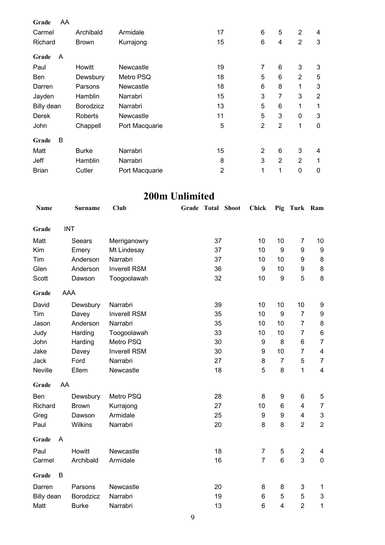| Grade        | AA |                  |                |                |                |                |                |                |
|--------------|----|------------------|----------------|----------------|----------------|----------------|----------------|----------------|
| Carmel       |    | Archibald        | Armidale       | 17             | 6              | 5              | $\overline{2}$ | 4              |
| Richard      |    | <b>Brown</b>     | Kurrajong      | 15             | 6              | 4              | $\overline{2}$ | 3              |
| Grade        | A  |                  |                |                |                |                |                |                |
| Paul         |    | Howitt           | Newcastle      | 19             | 7              | 6              | 3              | 3              |
| Ben          |    | Dewsbury         | Metro PSQ      | 18             | 5              | 6              | $\overline{2}$ | 5              |
| Darren       |    | Parsons          | Newcastle      | 18             | 6              | 8              | 1              | 3              |
| Jayden       |    | Hamblin          | Narrabri       | 15             | 3              | 7              | 3              | $\overline{2}$ |
| Billy dean   |    | <b>Borodzicz</b> | Narrabri       | 13             | 5              | 6              | 1              | 1              |
| Derek        |    | Roberts          | Newcastle      | 11             | 5              | 3              | 0              | 3              |
| John         |    | Chappell         | Port Macquarie | 5              | $\overline{2}$ | $\overline{2}$ | 1              | 0              |
| Grade        | B  |                  |                |                |                |                |                |                |
| Matt         |    | <b>Burke</b>     | Narrabri       | 15             | 2              | 6              | 3              | 4              |
| Jeff         |    | Hamblin          | Narrabri       | 8              | 3              | $\overline{2}$ | $\overline{2}$ | $\mathbf{1}$   |
| <b>Brian</b> |    | Cutler           | Port Macquarie | $\overline{2}$ | 1              | 1              | 0              | 0              |

#### **200m Unlimited**

| Name       |     | <b>Surname</b> | Club                | Grade Total Shoot |    | <b>Chick</b>   | Pig              | Turk Ram                |                           |
|------------|-----|----------------|---------------------|-------------------|----|----------------|------------------|-------------------------|---------------------------|
| Grade      |     | <b>INT</b>     |                     |                   |    |                |                  |                         |                           |
| Matt       |     | <b>Seears</b>  | Merriganowry        |                   | 37 | 10             | 10               | $\overline{7}$          | 10                        |
| Kim        |     | Emery          | Mt Lindesay         |                   | 37 | 10             | 9                | 9                       | 9                         |
| Tim        |     | Anderson       | Narrabri            |                   | 37 | 10             | 10               | 9                       | 8                         |
| Glen       |     | Anderson       | <b>Inverell RSM</b> |                   | 36 | 9              | 10               | 9                       | 8                         |
| Scott      |     | Dawson         | Toogoolawah         |                   | 32 | 10             | $\boldsymbol{9}$ | 5                       | 8                         |
| Grade      | AAA |                |                     |                   |    |                |                  |                         |                           |
| David      |     | Dewsbury       | Narrabri            |                   | 39 | 10             | 10               | 10                      | 9                         |
| Tim        |     | Davey          | <b>Inverell RSM</b> |                   | 35 | 10             | $9\,$            | $\overline{7}$          | 9                         |
| Jason      |     | Anderson       | Narrabri            |                   | 35 | 10             | 10               | $\overline{7}$          | 8                         |
| Judy       |     | Harding        | Toogoolawah         |                   | 33 | 10             | 10               | $\overline{7}$          | 6                         |
| John       |     | Harding        | Metro PSQ           |                   | 30 | 9              | 8                | 6                       | $\overline{7}$            |
| Jake       |     | Davey          | <b>Inverell RSM</b> |                   | 30 | 9              | 10               | $\overline{7}$          | $\overline{\mathbf{4}}$   |
| Jack       |     | Ford           | Narrabri            |                   | 27 | 8              | $\overline{7}$   | 5                       | $\overline{7}$            |
| Neville    |     | Ellem          | Newcastle           |                   | 18 | 5              | 8                | $\mathbf{1}$            | $\overline{\mathbf{4}}$   |
| Grade      | AA  |                |                     |                   |    |                |                  |                         |                           |
| Ben        |     | Dewsbury       | Metro PSQ           |                   | 28 | 8              | 9                | 6                       | 5                         |
| Richard    |     | <b>Brown</b>   | Kurrajong           |                   | 27 | 10             | 6                | $\overline{\mathbf{4}}$ | $\overline{7}$            |
| Greg       |     | Dawson         | Armidale            |                   | 25 | 9              | 9                | 4                       | $\ensuremath{\mathsf{3}}$ |
| Paul       |     | Wilkins        | Narrabri            |                   | 20 | 8              | 8                | $\overline{2}$          | $\overline{2}$            |
| Grade      | A   |                |                     |                   |    |                |                  |                         |                           |
| Paul       |     | Howitt         | Newcastle           |                   | 18 | $\overline{7}$ | 5                | $\overline{c}$          | 4                         |
| Carmel     |     | Archibald      | Armidale            |                   | 16 | $\overline{7}$ | 6                | 3                       | $\mathbf 0$               |
| Grade      | B   |                |                     |                   |    |                |                  |                         |                           |
| Darren     |     | Parsons        | Newcastle           |                   | 20 | 8              | 8                | 3                       | 1                         |
| Billy dean |     | Borodzicz      | Narrabri            |                   | 19 | 6              | 5                | 5                       | 3                         |
| Matt       |     | <b>Burke</b>   | Narrabri            |                   | 13 | 6              | 4                | $\overline{2}$          | 1                         |